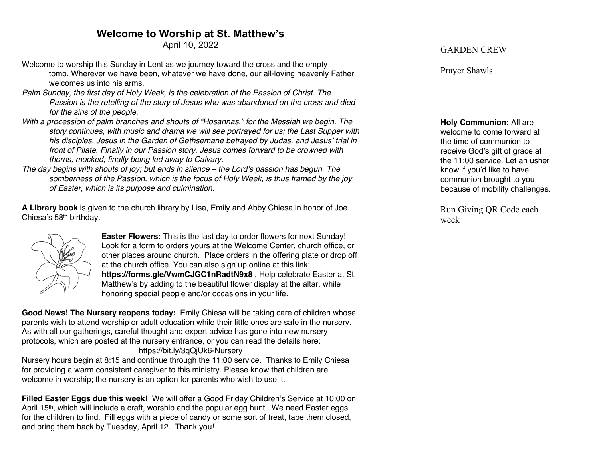# **Welcome to Worship at St. Matthew's**

April 10, 2022

- Welcome to worship this Sunday in Lent as we journey toward the cross and the empty tomb. Wherever we have been, whatever we have done, our all-loving heavenly Father welcomes us into his arms.
- *Palm Sunday, the first day of Holy Week, is the celebration of the Passion of Christ. The Passion is the retelling of the story of Jesus who was abandoned on the cross and died for the sins of the people.*
- *With a procession of palm branches and shouts of "Hosannas," for the Messiah we begin. The story continues, with music and drama we will see portrayed for us; the Last Supper with his disciples, Jesus in the Garden of Gethsemane betrayed by Judas, and Jesus' trial in front of Pilate. Finally in our Passion story, Jesus comes forward to be crowned with thorns, mocked, finally being led away to Calvary.*
- *The day begins with shouts of joy; but ends in silence – the Lord's passion has begun. The somberness of the Passion, which is the focus of Holy Week, is thus framed by the joy of Easter, which is its purpose and culmination.*

**A Library book** is given to the church library by Lisa, Emily and Abby Chiesa in honor of Joe Chiesa's 58th birthday.



**Easter Flowers:** This is the last day to order flowers for next Sunday! Look for a form to orders yours at the Welcome Center, church office, or other places around church. Place orders in the offering plate or drop off at the church office. You can also sign up online at this link: **https://forms.gle/VwmCJGC1nRadtN9x8** , Help celebrate Easter at St. Matthew's by adding to the beautiful flower display at the altar, while honoring special people and/or occasions in your life.

**Good News! The Nursery reopens today:** Emily Chiesa will be taking care of children whose parents wish to attend worship or adult education while their little ones are safe in the nursery. As with all our gatherings, careful thought and expert advice has gone into new nursery protocols, which are posted at the nursery entrance, or you can read the details here: https://bit.ly/3qQjUk6-Nursery

Nursery hours begin at 8:15 and continue through the 11:00 service. Thanks to Emily Chiesa for providing a warm consistent caregiver to this ministry. Please know that children are welcome in worship; the nursery is an option for parents who wish to use it.

**Filled Easter Eggs due this week!** We will offer a Good Friday Children's Service at 10:00 on April  $15<sup>th</sup>$ , which will include a craft, worship and the popular egg hunt. We need Easter eggs for the children to find. Fill eggs with a piece of candy or some sort of treat, tape them closed, and bring them back by Tuesday, April 12. Thank you!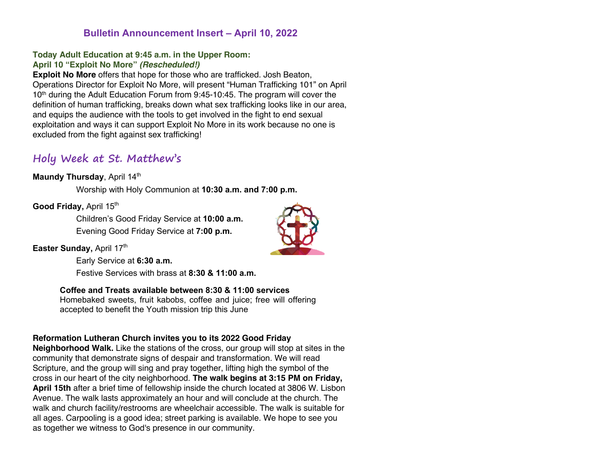## **Bulletin Announcement Insert – April 10, 2022**

### **Today Adult Education at 9:45 a.m. in the Upper Room: April 10 "Exploit No More"** *(Rescheduled!)*

**Exploit No More** offers that hope for those who are trafficked. Josh Beaton, Operations Director for Exploit No More, will present "Human Trafficking 101" on April 10th during the Adult Education Forum from 9:45-10:45. The program will cover the definition of human trafficking, breaks down what sex trafficking looks like in our area, and equips the audience with the tools to get involved in the fight to end sexual exploitation and ways it can support Exploit No More in its work because no one is excluded from the fight against sex trafficking!

# **Holy Week at St. Matthew's**

## **Maundy Thursday, April 14th**

Worship with Holy Communion at **10:30 a.m. and 7:00 p.m.**

### **Good Friday, April 15th**

Children's Good Friday Service at **10:00 a.m.** Evening Good Friday Service at **7:00 p.m.**

#### **Easter Sunday, April 17th**

Early Service at **6:30 a.m.**

Festive Services with brass at **8:30 & 11:00 a.m.**

## **Coffee and Treats available between 8:30 & 11:00 services**

Homebaked sweets, fruit kabobs, coffee and juice; free will offering accepted to benefit the Youth mission trip this June

## **Reformation Lutheran Church invites you to its 2022 Good Friday**

**Neighborhood Walk.** Like the stations of the cross, our group will stop at sites in the community that demonstrate signs of despair and transformation. We will read Scripture, and the group will sing and pray together, lifting high the symbol of the cross in our heart of the city neighborhood. **The walk begins at 3:15 PM on Friday, April 15th** after a brief time of fellowship inside the church located at 3806 W. Lisbon Avenue. The walk lasts approximately an hour and will conclude at the church. The walk and church facility/restrooms are wheelchair accessible. The walk is suitable for all ages. Carpooling is a good idea; street parking is available. We hope to see you as together we witness to God's presence in our community.

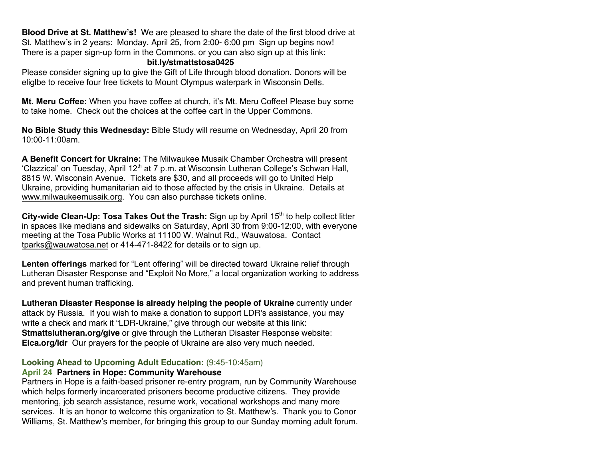**Blood Drive at St. Matthew's!** We are pleased to share the date of the first blood drive at St. Matthew's in 2 years: Monday, April 25, from 2:00- 6:00 pm Sign up begins now! There is a paper sign-up form in the Commons, or you can also sign up at this link:

#### **bit.ly/stmattstosa0425**

Please consider signing up to give the Gift of Life through blood donation. Donors will be eliglbe to receive four free tickets to Mount Olympus waterpark in Wisconsin Dells.

**Mt. Meru Coffee:** When you have coffee at church, it's Mt. Meru Coffee! Please buy some to take home. Check out the choices at the coffee cart in the Upper Commons.

**No Bible Study this Wednesday:** Bible Study will resume on Wednesday, April 20 from 10:00-11:00am.

**A Benefit Concert for Ukraine:** The Milwaukee Musaik Chamber Orchestra will present 'Clazzical' on Tuesday, April  $12<sup>th</sup>$  at 7 p.m. at Wisconsin Lutheran College's Schwan Hall, 8815 W. Wisconsin Avenue. Tickets are \$30, and all proceeds will go to United Help Ukraine, providing humanitarian aid to those affected by the crisis in Ukraine. Details at www.milwaukeemusaik.org. You can also purchase tickets online.

City-wide Clean-Up: Tosa Takes Out the Trash: Sign up by April 15<sup>th</sup> to help collect litter in spaces like medians and sidewalks on Saturday, April 30 from 9:00-12:00, with everyone meeting at the Tosa Public Works at 11100 W. Walnut Rd., Wauwatosa. Contact tparks@wauwatosa.net or 414-471-8422 for details or to sign up.

**Lenten offerings** marked for "Lent offering" will be directed toward Ukraine relief through Lutheran Disaster Response and "Exploit No More," a local organization working to address and prevent human trafficking.

**Lutheran Disaster Response is already helping the people of Ukraine** currently under attack by Russia. If you wish to make a donation to support LDR's assistance, you may write a check and mark it "LDR-Ukraine," give through our website at this link: **Stmattslutheran.org/give** or give through the Lutheran Disaster Response website: **Elca.org/ldr** Our prayers for the people of Ukraine are also very much needed.

## **Looking Ahead to Upcoming Adult Education:** (9:45-10:45am)

## **April 24 Partners in Hope: Community Warehouse**

Partners in Hope is a faith-based prisoner re-entry program, run by Community Warehouse which helps formerly incarcerated prisoners become productive citizens. They provide mentoring, job search assistance, resume work, vocational workshops and many more services. It is an honor to welcome this organization to St. Matthew's. Thank you to Conor Williams, St. Matthew's member, for bringing this group to our Sunday morning adult forum.